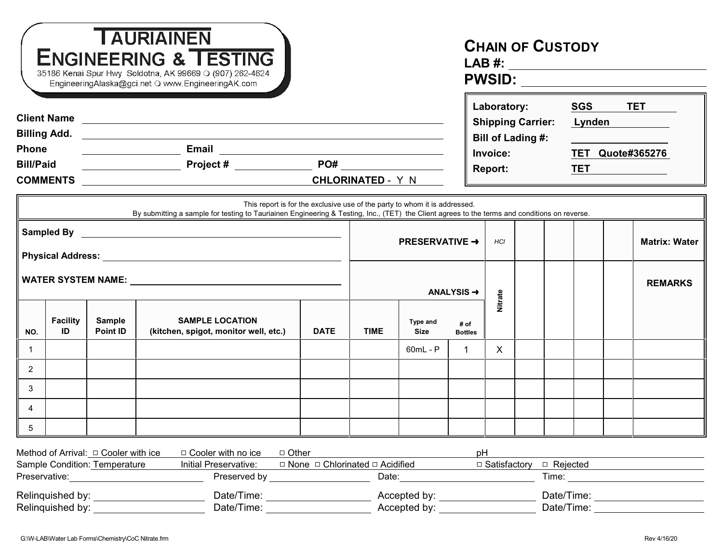| <b>TAURIAINEN</b><br><b>ENGINEERING &amp; TESTING</b><br>35186 Kenai Spur Hwy Soldotna, AK 99669 O (907) 262-4624<br>EngineeringAlaska@gci.net O www.EngineeringAK.com |                       |                                                                            |                                                                                                                                                                                                                             |                                                 |                                     |                                |                        | <b>CHAIN OF CUSTODY</b>           |                          |                                                                                                                                                                                                                                |                      |  |  |
|------------------------------------------------------------------------------------------------------------------------------------------------------------------------|-----------------------|----------------------------------------------------------------------------|-----------------------------------------------------------------------------------------------------------------------------------------------------------------------------------------------------------------------------|-------------------------------------------------|-------------------------------------|--------------------------------|------------------------|-----------------------------------|--------------------------|--------------------------------------------------------------------------------------------------------------------------------------------------------------------------------------------------------------------------------|----------------------|--|--|
| Client Name <b>Client Name</b>                                                                                                                                         |                       |                                                                            |                                                                                                                                                                                                                             |                                                 |                                     |                                | Laboratory:            |                                   |                          | <b>SGS</b>                                                                                                                                                                                                                     | <b>TET</b>           |  |  |
|                                                                                                                                                                        |                       |                                                                            |                                                                                                                                                                                                                             |                                                 |                                     |                                |                        |                                   | <b>Shipping Carrier:</b> |                                                                                                                                                                                                                                | <u>Lynden</u>        |  |  |
| <b>Phone</b>                                                                                                                                                           |                       |                                                                            |                                                                                                                                                                                                                             |                                                 |                                     |                                |                        | <b>Bill of Lading #:</b>          |                          | <b>TET Quote#365276</b>                                                                                                                                                                                                        |                      |  |  |
| <b>Bill/Paid</b>                                                                                                                                                       |                       |                                                                            |                                                                                                                                                                                                                             |                                                 |                                     |                                |                        | <b>Invoice:</b><br><b>Report:</b> |                          |                                                                                                                                                                                                                                | <b>TET</b>           |  |  |
|                                                                                                                                                                        |                       |                                                                            |                                                                                                                                                                                                                             |                                                 |                                     |                                |                        |                                   |                          |                                                                                                                                                                                                                                |                      |  |  |
|                                                                                                                                                                        |                       |                                                                            | This report is for the exclusive use of the party to whom it is addressed.<br>By submitting a sample for testing to Tauriainen Engineering & Testing, Inc., (TET) the Client agrees to the terms and conditions on reverse. |                                                 |                                     |                                |                        |                                   |                          |                                                                                                                                                                                                                                |                      |  |  |
|                                                                                                                                                                        |                       |                                                                            |                                                                                                                                                                                                                             |                                                 | <b>PRESERVATIVE →</b><br><b>HCI</b> |                                |                        |                                   |                          |                                                                                                                                                                                                                                | <b>Matrix: Water</b> |  |  |
|                                                                                                                                                                        |                       |                                                                            |                                                                                                                                                                                                                             |                                                 | ANALYSIS $\rightarrow$              |                                |                        | Nitrate                           |                          |                                                                                                                                                                                                                                | <b>REMARKS</b>       |  |  |
| NO.                                                                                                                                                                    | <b>Facility</b><br>ID | <b>Sample</b><br><b>Point ID</b>                                           | <b>SAMPLE LOCATION</b><br>(kitchen, spigot, monitor well, etc.)                                                                                                                                                             | <b>DATE</b>                                     | <b>TIME</b>                         | <b>Type and</b><br><b>Size</b> | # of<br><b>Bottles</b> |                                   |                          |                                                                                                                                                                                                                                |                      |  |  |
| $\mathbf 1$                                                                                                                                                            |                       |                                                                            |                                                                                                                                                                                                                             |                                                 |                                     | $60mL - P$                     | $\mathbf{1}$           | X                                 |                          |                                                                                                                                                                                                                                |                      |  |  |
| $\overline{2}$                                                                                                                                                         |                       |                                                                            |                                                                                                                                                                                                                             |                                                 |                                     |                                |                        |                                   |                          |                                                                                                                                                                                                                                |                      |  |  |
| 3                                                                                                                                                                      |                       |                                                                            |                                                                                                                                                                                                                             |                                                 |                                     |                                |                        |                                   |                          |                                                                                                                                                                                                                                |                      |  |  |
| 4                                                                                                                                                                      |                       |                                                                            |                                                                                                                                                                                                                             |                                                 |                                     |                                |                        |                                   |                          |                                                                                                                                                                                                                                |                      |  |  |
| $5\phantom{.0}$                                                                                                                                                        |                       |                                                                            |                                                                                                                                                                                                                             |                                                 |                                     |                                |                        |                                   |                          |                                                                                                                                                                                                                                |                      |  |  |
|                                                                                                                                                                        |                       |                                                                            |                                                                                                                                                                                                                             |                                                 |                                     |                                |                        |                                   |                          |                                                                                                                                                                                                                                |                      |  |  |
|                                                                                                                                                                        |                       | Method of Arrival: $\Box$ Cooler with ice<br>Sample Condition: Temperature | □ Cooler with no ice<br>□ Other<br>Initial Preservative:                                                                                                                                                                    | $\Box$ None $\Box$ Chlorinated $\Box$ Acidified |                                     |                                | рH                     | □ Satisfactory                    |                          | $\Box$ Rejected                                                                                                                                                                                                                |                      |  |  |
| Preserved by <b>Example 20</b><br>Preservative: <b>Example</b>                                                                                                         |                       |                                                                            |                                                                                                                                                                                                                             |                                                 | Date:                               |                                |                        |                                   |                          | Time:                                                                                                                                                                                                                          |                      |  |  |
| Relinquished by:<br>Date/Time: _____________________<br>Relinquished by:<br>Date/Time: ____________                                                                    |                       |                                                                            |                                                                                                                                                                                                                             |                                                 | Accepted by:                        |                                |                        |                                   |                          | Date/Time: expansion of the state of the state of the state of the state of the state of the state of the state of the state of the state of the state of the state of the state of the state of the state of the state of the |                      |  |  |